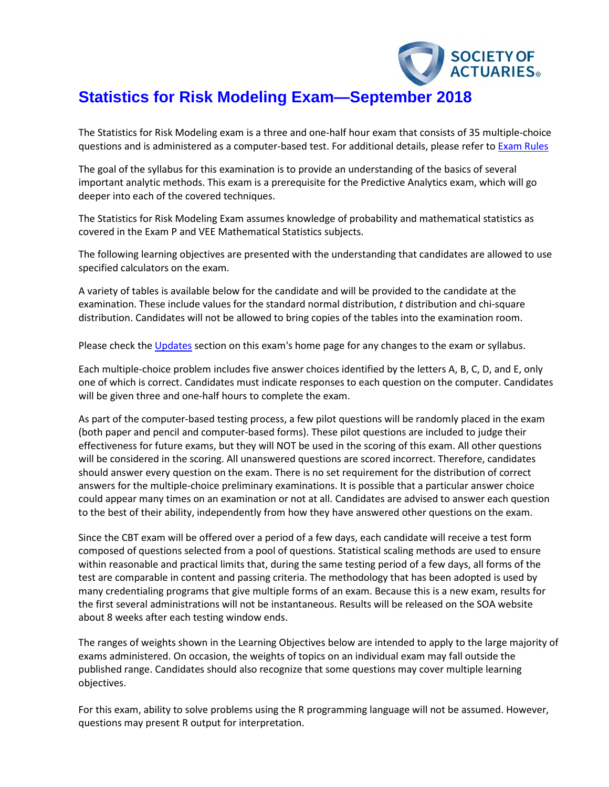

# **Statistics for Risk Modeling Exam—September 2018**

The Statistics for Risk Modeling exam is a three and one-half hour exam that consists of 35 multiple-choice questions and is administered as a computer-based test. For additional details, please refer to [Exam Rules](http://www.soa.org/Education/Exam-Req/Exam-Day-Info/edu-cbt-add-rules.aspx)

The goal of the syllabus for this examination is to provide an understanding of the basics of several important analytic methods. This exam is a prerequisite for the Predictive Analytics exam, which will go deeper into each of the covered techniques.

The Statistics for Risk Modeling Exam assumes knowledge of probability and mathematical statistics as covered in the Exam P and VEE Mathematical Statistics subjects.

The following learning objectives are presented with the understanding that candidates are allowed to use specified calculators on the exam.

A variety of tables is available below for the candidate and will be provided to the candidate at the examination. These include values for the standard normal distribution, *t* distribution and chi-square distribution. Candidates will not be allowed to bring copies of the tables into the examination room.

Please check th[e Updates](https://www.soa.org/Education/Exam-Req/Syllabus-Study-Materials/edu-updates-exam-srm.aspx) section on this exam's home page for any changes to the exam or syllabus.

Each multiple-choice problem includes five answer choices identified by the letters A, B, C, D, and E, only one of which is correct. Candidates must indicate responses to each question on the computer. Candidates will be given three and one-half hours to complete the exam.

As part of the computer-based testing process, a few pilot questions will be randomly placed in the exam (both paper and pencil and computer-based forms). These pilot questions are included to judge their effectiveness for future exams, but they will NOT be used in the scoring of this exam. All other questions will be considered in the scoring. All unanswered questions are scored incorrect. Therefore, candidates should answer every question on the exam. There is no set requirement for the distribution of correct answers for the multiple-choice preliminary examinations. It is possible that a particular answer choice could appear many times on an examination or not at all. Candidates are advised to answer each question to the best of their ability, independently from how they have answered other questions on the exam.

Since the CBT exam will be offered over a period of a few days, each candidate will receive a test form composed of questions selected from a pool of questions. Statistical scaling methods are used to ensure within reasonable and practical limits that, during the same testing period of a few days, all forms of the test are comparable in content and passing criteria. The methodology that has been adopted is used by many credentialing programs that give multiple forms of an exam. Because this is a new exam, results for the first several administrations will not be instantaneous. Results will be released on the SOA website about 8 weeks after each testing window ends.

The ranges of weights shown in the Learning Objectives below are intended to apply to the large majority of exams administered. On occasion, the weights of topics on an individual exam may fall outside the published range. Candidates should also recognize that some questions may cover multiple learning objectives.

For this exam, ability to solve problems using the R programming language will not be assumed. However, questions may present R output for interpretation.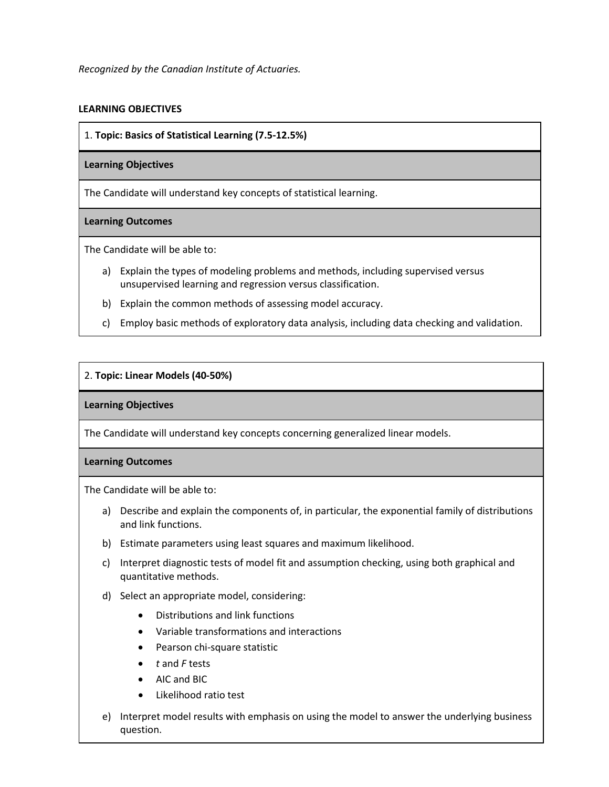# **LEARNING OBJECTIVES**

1. **Topic: Basics of Statistical Learning (7.5-12.5%)**

## **Learning Objectives**

The Candidate will understand key concepts of statistical learning.

## **Learning Outcomes**

The Candidate will be able to:

- a) Explain the types of modeling problems and methods, including supervised versus unsupervised learning and regression versus classification.
- b) Explain the common methods of assessing model accuracy.
- c) Employ basic methods of exploratory data analysis, including data checking and validation.

## 2. **Topic: Linear Models (40-50%)**

## **Learning Objectives**

The Candidate will understand key concepts concerning generalized linear models.

## **Learning Outcomes**

The Candidate will be able to:

- a) Describe and explain the components of, in particular, the exponential family of distributions and link functions.
- b) Estimate parameters using least squares and maximum likelihood.
- c) Interpret diagnostic tests of model fit and assumption checking, using both graphical and quantitative methods.
- d) Select an appropriate model, considering:
	- Distributions and link functions
	- Variable transformations and interactions
	- Pearson chi-square statistic
	- *t* and *F* tests
	- AIC and BIC
	- Likelihood ratio test
- e) Interpret model results with emphasis on using the model to answer the underlying business question.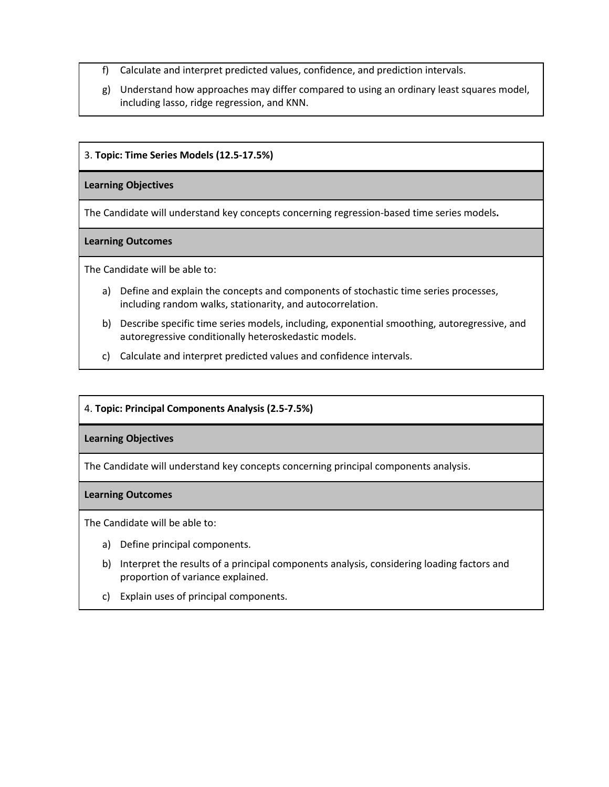- f) Calculate and interpret predicted values, confidence, and prediction intervals.
- g) Understand how approaches may differ compared to using an ordinary least squares model, including lasso, ridge regression, and KNN.

## 3. **Topic: Time Series Models (12.5-17.5%)**

#### **Learning Objectives**

The Candidate will understand key concepts concerning regression-based time series models**.** 

## **Learning Outcomes**

The Candidate will be able to:

- a) Define and explain the concepts and components of stochastic time series processes, including random walks, stationarity, and autocorrelation.
- b) Describe specific time series models, including, exponential smoothing, autoregressive, and autoregressive conditionally heteroskedastic models.
- c) Calculate and interpret predicted values and confidence intervals.

## 4. **Topic: Principal Components Analysis (2.5-7.5%)**

## **Learning Objectives**

The Candidate will understand key concepts concerning principal components analysis.

## **Learning Outcomes**

The Candidate will be able to:

- a) Define principal components.
- b) Interpret the results of a principal components analysis, considering loading factors and proportion of variance explained.
- c) Explain uses of principal components.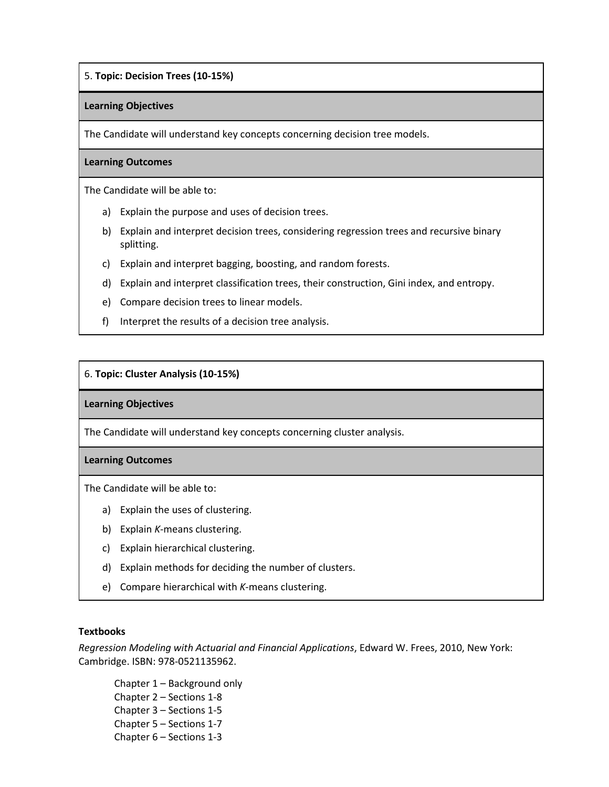## 5. **Topic: Decision Trees (10-15%)**

#### **Learning Objectives**

The Candidate will understand key concepts concerning decision tree models.

#### **Learning Outcomes**

The Candidate will be able to:

- a) Explain the purpose and uses of decision trees.
- b) Explain and interpret decision trees, considering regression trees and recursive binary splitting.
- c) Explain and interpret bagging, boosting, and random forests.
- d) Explain and interpret classification trees, their construction, Gini index, and entropy.
- e) Compare decision trees to linear models.
- f) Interpret the results of a decision tree analysis.

## 6. **Topic: Cluster Analysis (10-15%)**

#### **Learning Objectives**

The Candidate will understand key concepts concerning cluster analysis.

#### **Learning Outcomes**

The Candidate will be able to:

- a) Explain the uses of clustering.
- b) Explain *K*-means clustering.
- c) Explain hierarchical clustering.
- d) Explain methods for deciding the number of clusters.
- e) Compare hierarchical with *K*-means clustering.

## **Textbooks**

*Regression Modeling with Actuarial and Financial Applications*, Edward W. Frees, 2010, New York: Cambridge. ISBN: 978-0521135962.

Chapter 1 – Background only Chapter 2 – Sections 1-8 Chapter 3 – Sections 1-5 Chapter 5 – Sections 1-7 Chapter 6 – Sections 1-3